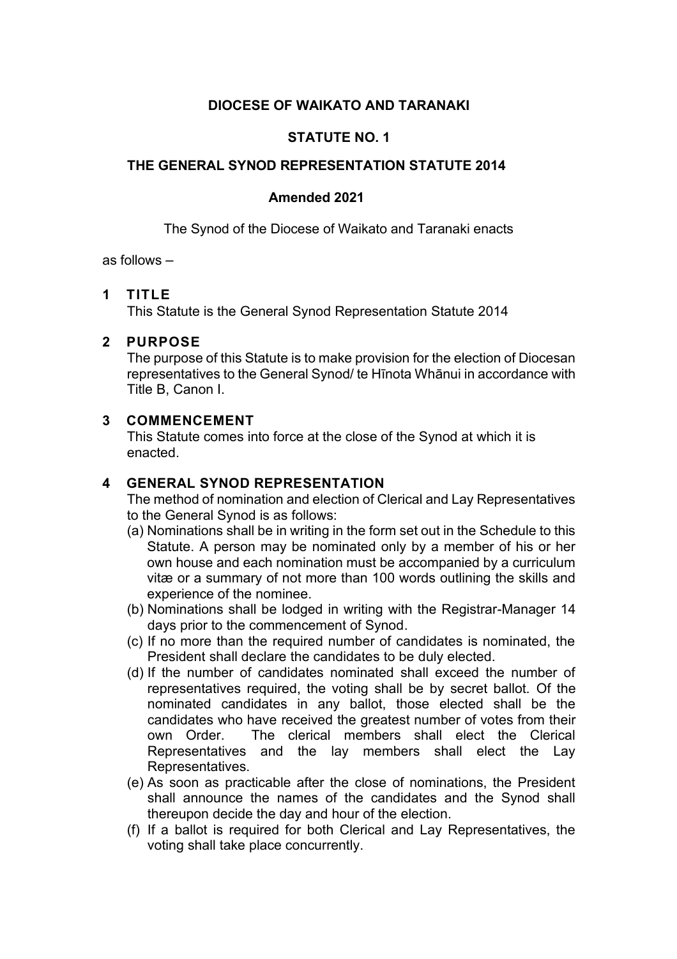#### **DIOCESE OF WAIKATO AND TARANAKI**

# **STATUTE NO. 1**

### **THE GENERAL SYNOD REPRESENTATION STATUTE 2014**

#### **Amended 2021**

The Synod of the Diocese of Waikato and Taranaki enacts

as follows –

### **1 TITLE**

This Statute is the General Synod Representation Statute 2014

#### **2 PURPOSE**

The purpose of this Statute is to make provision for the election of Diocesan representatives to the General Synod/ te Hīnota Whānui in accordance with Title B, Canon I.

#### **3 COMMENCEMENT**

This Statute comes into force at the close of the Synod at which it is enacted.

#### **4 GENERAL SYNOD REPRESENTATION**

The method of nomination and election of Clerical and Lay Representatives to the General Synod is as follows:

- (a) Nominations shall be in writing in the form set out in the Schedule to this Statute. A person may be nominated only by a member of his or her own house and each nomination must be accompanied by a curriculum vitæ or a summary of not more than 100 words outlining the skills and experience of the nominee.
- (b) Nominations shall be lodged in writing with the Registrar-Manager 14 days prior to the commencement of Synod.
- (c) If no more than the required number of candidates is nominated, the President shall declare the candidates to be duly elected.
- (d) If the number of candidates nominated shall exceed the number of representatives required, the voting shall be by secret ballot. Of the nominated candidates in any ballot, those elected shall be the candidates who have received the greatest number of votes from their own Order. The clerical members shall elect the Clerical Representatives and the lay members shall elect the Lay Representatives.
- (e) As soon as practicable after the close of nominations, the President shall announce the names of the candidates and the Synod shall thereupon decide the day and hour of the election.
- (f) If a ballot is required for both Clerical and Lay Representatives, the voting shall take place concurrently.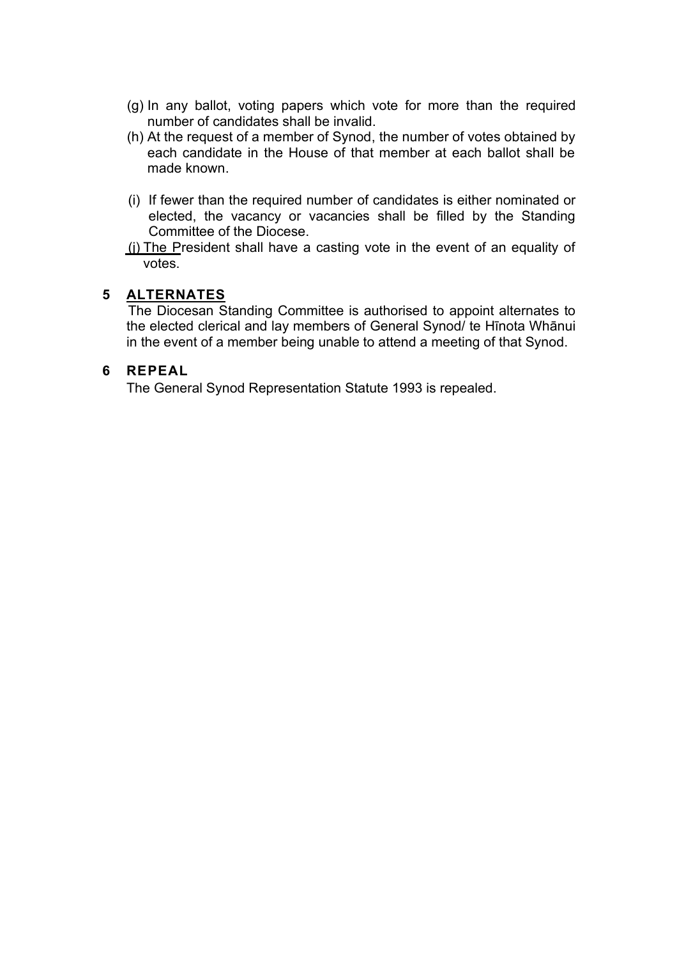- (g) In any ballot, voting papers which vote for more than the required number of candidates shall be invalid.
- (h) At the request of a member of Synod, the number of votes obtained by each candidate in the House of that member at each ballot shall be made known.
- (i) If fewer than the required number of candidates is either nominated or elected, the vacancy or vacancies shall be filled by the Standing Committee of the Diocese.
- (j) The President shall have a casting vote in the event of an equality of votes.

### **5 ALTERNATES**

The Diocesan Standing Committee is authorised to appoint alternates to the elected clerical and lay members of General Synod/ te Hīnota Whānui in the event of a member being unable to attend a meeting of that Synod.

# **6 REPEAL**

The General Synod Representation Statute 1993 is repealed.